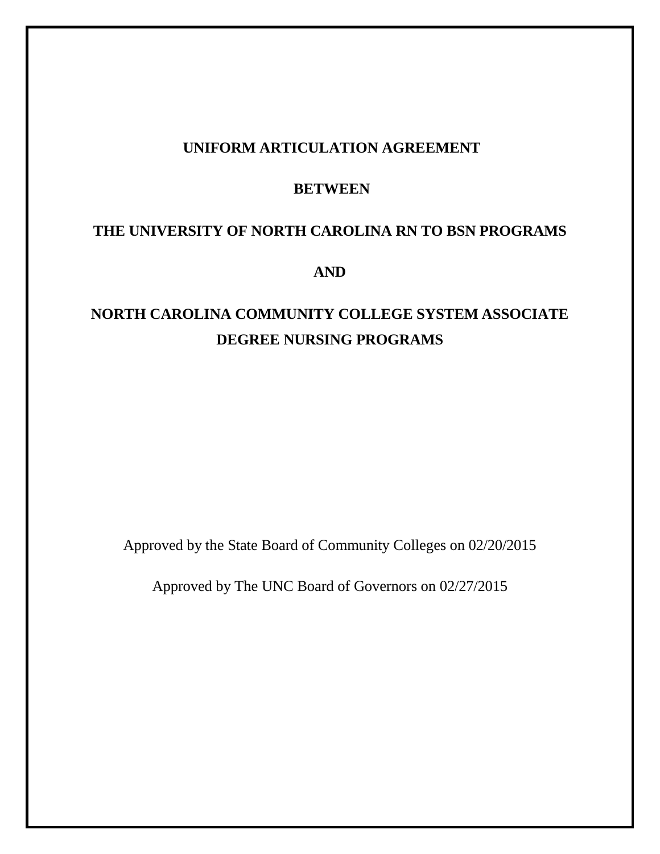## **UNIFORM ARTICULATION AGREEMENT**

## **BETWEEN**

## **THE UNIVERSITY OF NORTH CAROLINA RN TO BSN PROGRAMS**

**AND**

# **NORTH CAROLINA COMMUNITY COLLEGE SYSTEM ASSOCIATE DEGREE NURSING PROGRAMS**

Approved by the State Board of Community Colleges on 02/20/2015

Approved by The UNC Board of Governors on 02/27/2015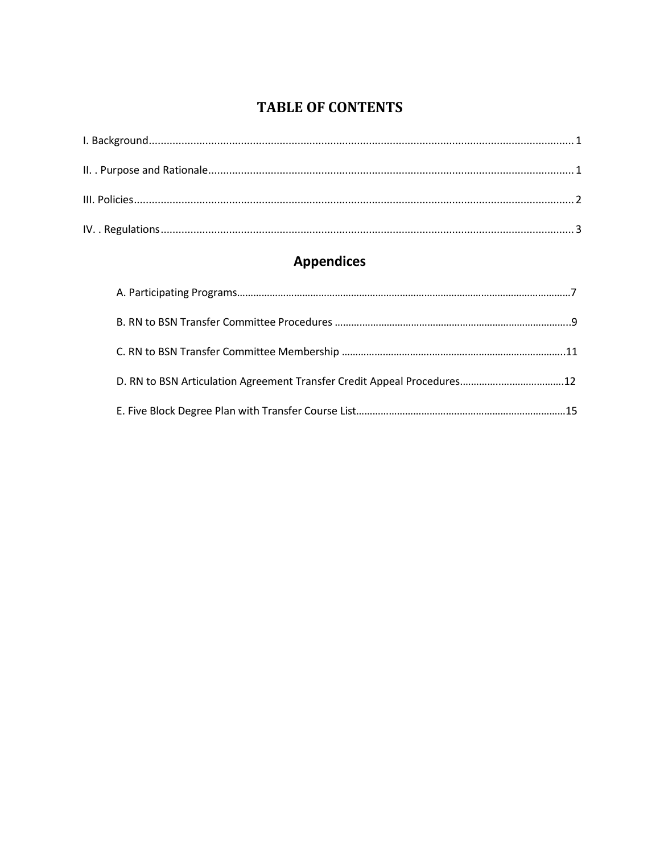## **TABLE OF CONTENTS**

<span id="page-1-0"></span>

# **Appendices**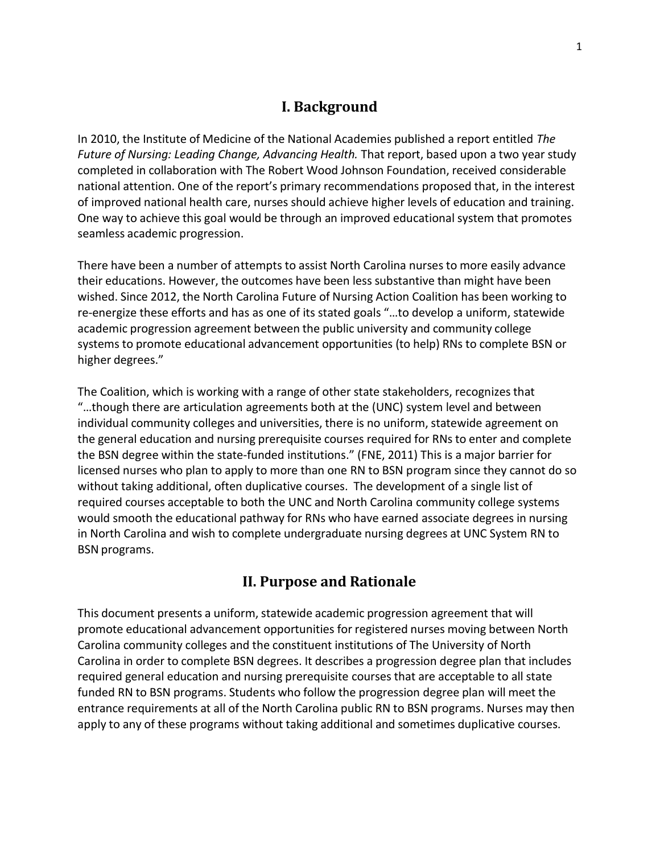### **I. Background**

In 2010, the Institute of Medicine of the National Academies published a report entitled *The Future of Nursing: Leading Change, Advancing Health.* That report, based upon a two year study completed in collaboration with The Robert Wood Johnson Foundation, received considerable national attention. One of the report's primary recommendations proposed that, in the interest of improved national health care, nurses should achieve higher levels of education and training. One way to achieve this goal would be through an improved educational system that promotes seamless academic progression.

There have been a number of attempts to assist North Carolina nurses to more easily advance their educations. However, the outcomes have been less substantive than might have been wished. Since 2012, the North Carolina Future of Nursing Action Coalition has been working to re-energize these efforts and has as one of its stated goals "…to develop a uniform, statewide academic progression agreement between the public university and community college systems to promote educational advancement opportunities (to help) RNs to complete BSN or higher degrees."

The Coalition, which is working with a range of other state stakeholders, recognizesthat "…though there are articulation agreements both at the (UNC) system level and between individual community colleges and universities, there is no uniform, statewide agreement on the general education and nursing prerequisite courses required for RNs to enter and complete the BSN degree within the state-funded institutions." (FNE, 2011) This is a major barrier for licensed nurses who plan to apply to more than one RN to BSN program since they cannot do so without taking additional, often duplicative courses. The development of a single list of required courses acceptable to both the UNC and North Carolina community college systems would smooth the educational pathway for RNs who have earned associate degrees in nursing in North Carolina and wish to complete undergraduate nursing degrees at UNC System RN to BSN programs.

## **II. Purpose and Rationale**

<span id="page-2-0"></span>This document presents a uniform, statewide academic progression agreement that will promote educational advancement opportunities for registered nurses moving between North Carolina community colleges and the constituent institutions of The University of North Carolina in order to complete BSN degrees. It describes a progression degree plan that includes required general education and nursing prerequisite courses that are acceptable to all state funded RN to BSN programs. Students who follow the progression degree plan will meet the entrance requirements at all of the North Carolina public RN to BSN programs. Nurses may then apply to any of these programs without taking additional and sometimes duplicative courses.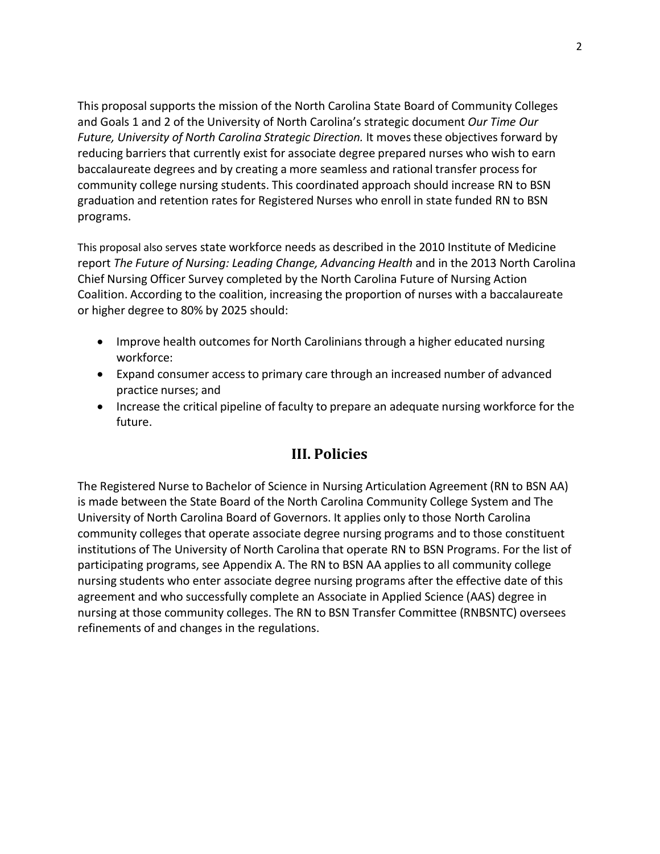This proposal supports the mission of the North Carolina State Board of Community Colleges and Goals 1 and 2 of the University of North Carolina's strategic document *Our Time Our Future, University of North Carolina Strategic Direction.* It movesthese objectives forward by reducing barriers that currently exist for associate degree prepared nurses who wish to earn baccalaureate degrees and by creating a more seamless and rational transfer processfor community college nursing students. This coordinated approach should increase RN to BSN graduation and retention rates for Registered Nurses who enroll in state funded RN to BSN programs.

This proposal also serves state workforce needs as described in the 2010 Institute of Medicine report *The Future of Nursing: Leading Change, Advancing Health* and in the 2013 North Carolina Chief Nursing Officer Survey completed by the North Carolina Future of Nursing Action Coalition. According to the coalition, increasing the proportion of nurses with a baccalaureate or higher degree to 80% by 2025 should:

- Improve health outcomes for North Carolinians through a higher educated nursing workforce:
- Expand consumer accessto primary care through an increased number of advanced practice nurses; and
- Increase the critical pipeline of faculty to prepare an adequate nursing workforce for the future.

## **III. Policies**

<span id="page-3-0"></span>The Registered Nurse to Bachelor of Science in Nursing Articulation Agreement (RN to BSN AA) is made between the State Board of the North Carolina Community College System and The University of North Carolina Board of Governors. It applies only to those North Carolina community colleges that operate associate degree nursing programs and to those constituent institutions of The University of North Carolina that operate RN to BSN Programs. For the list of participating programs, see Appendix A. The RN to BSN AA applies to all community college nursing students who enter associate degree nursing programs after the effective date of this agreement and who successfully complete an Associate in Applied Science (AAS) degree in nursing at those community colleges. The RN to BSN Transfer Committee (RNBSNTC) oversees refinements of and changes in the regulations.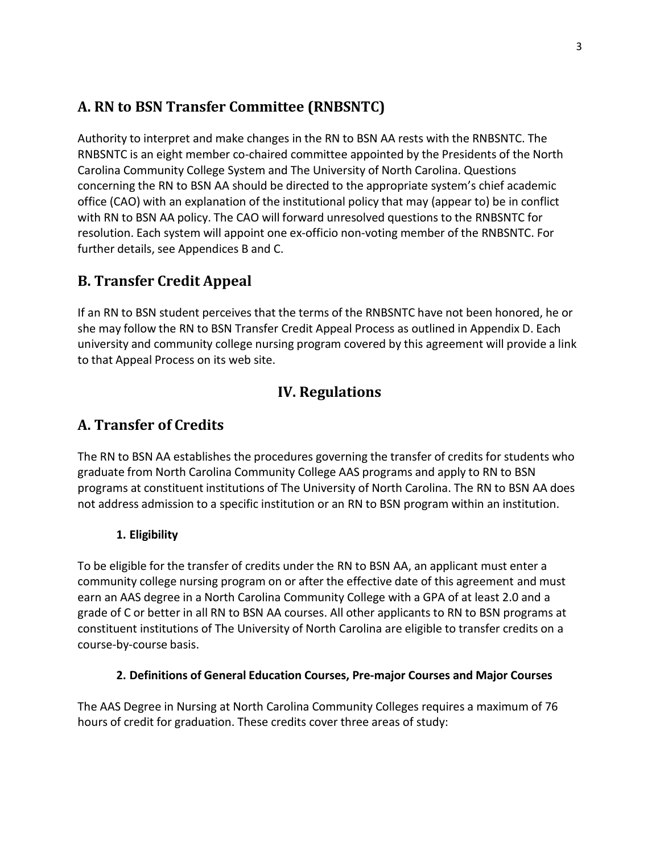## **A. RN to BSN Transfer Committee (RNBSNTC)**

Authority to interpret and make changes in the RN to BSN AA rests with the RNBSNTC. The RNBSNTC is an eight member co-chaired committee appointed by the Presidents of the North Carolina Community College System and The University of North Carolina. Questions concerning the RN to BSN AA should be directed to the appropriate system's chief academic office (CAO) with an explanation of the institutional policy that may (appear to) be in conflict with RN to BSN AA policy. The CAO will forward unresolved questions to the RNBSNTC for resolution. Each system will appoint one ex-officio non-voting member of the RNBSNTC. For further details, see Appendices B and C.

## **B. Transfer Credit Appeal**

If an RN to BSN student perceives that the terms of the RNBSNTC have not been honored, he or she may follow the RN to BSN Transfer Credit Appeal Process as outlined in Appendix D. Each university and community college nursing program covered by this agreement will provide a link to that Appeal Process on its web site.

## **IV. Regulations**

## <span id="page-4-0"></span>**A. Transfer of Credits**

The RN to BSN AA establishes the procedures governing the transfer of credits for students who graduate from North Carolina Community College AAS programs and apply to RN to BSN programs at constituent institutions of The University of North Carolina. The RN to BSN AA does not address admission to a specific institution or an RN to BSN program within an institution.

## **1. Eligibility**

To be eligible for the transfer of credits under the RN to BSN AA, an applicant must enter a community college nursing program on or after the effective date of this agreement and must earn an AAS degree in a North Carolina Community College with a GPA of at least 2.0 and a grade of C or better in all RN to BSN AA courses. All other applicants to RN to BSN programs at constituent institutions of The University of North Carolina are eligible to transfer credits on a course-by-course basis.

## **2. Definitions of General Education Courses, Pre-major Courses and Major Courses**

The AAS Degree in Nursing at North Carolina Community Colleges requires a maximum of 76 hours of credit for graduation. These credits cover three areas of study: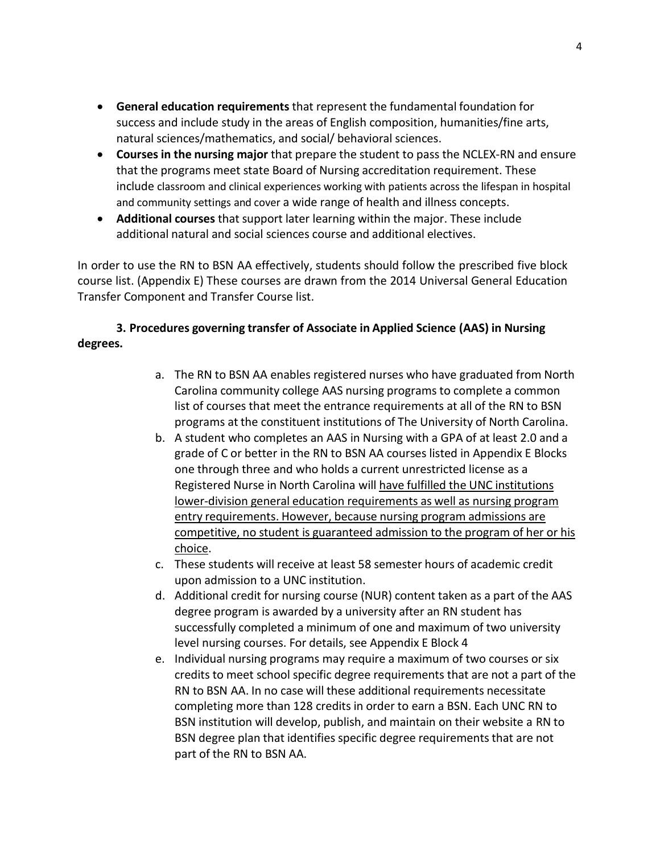- **General education requirements** that represent the fundamental foundation for success and include study in the areas of English composition, humanities/fine arts, natural sciences/mathematics, and social/ behavioral sciences.
- **Courses in the nursing major** that prepare the student to pass the NCLEX-RN and ensure that the programs meet state Board of Nursing accreditation requirement. These include classroom and clinical experiences working with patients across the lifespan in hospital and community settings and cover a wide range of health and illness concepts.
- **Additional courses** that support later learning within the major. These include additional natural and social sciences course and additional electives.

In order to use the RN to BSN AA effectively, students should follow the prescribed five block course list. (Appendix E) These courses are drawn from the 2014 Universal General Education Transfer Component and Transfer Course list.

### **3. Procedures governing transfer of Associate in Applied Science (AAS) in Nursing degrees.**

- a. The RN to BSN AA enables registered nurses who have graduated from North Carolina community college AAS nursing programs to complete a common list of courses that meet the entrance requirements at all of the RN to BSN programs at the constituent institutions of The University of North Carolina.
- b. A student who completes an AAS in Nursing with a GPA of at least 2.0 and a grade of C or better in the RN to BSN AA courses listed in Appendix E Blocks one through three and who holds a current unrestricted license as a Registered Nurse in North Carolina will have fulfilled the UNC institutions lower-division general education requirements as well as nursing program entry requirements. However, because nursing program admissions are competitive, no student is guaranteed admission to the program of her or his choice.
- c. These students will receive at least 58 semester hours of academic credit upon admission to a UNC institution.
- d. Additional credit for nursing course (NUR) content taken as a part of the AAS degree program is awarded by a university after an RN student has successfully completed a minimum of one and maximum of two university level nursing courses. For details, see Appendix E Block 4
- e. Individual nursing programs may require a maximum of two courses or six credits to meet school specific degree requirements that are not a part of the RN to BSN AA. In no case will these additional requirements necessitate completing more than 128 credits in order to earn a BSN. Each UNC RN to BSN institution will develop, publish, and maintain on their website a RN to BSN degree plan that identifies specific degree requirements that are not part of the RN to BSN AA.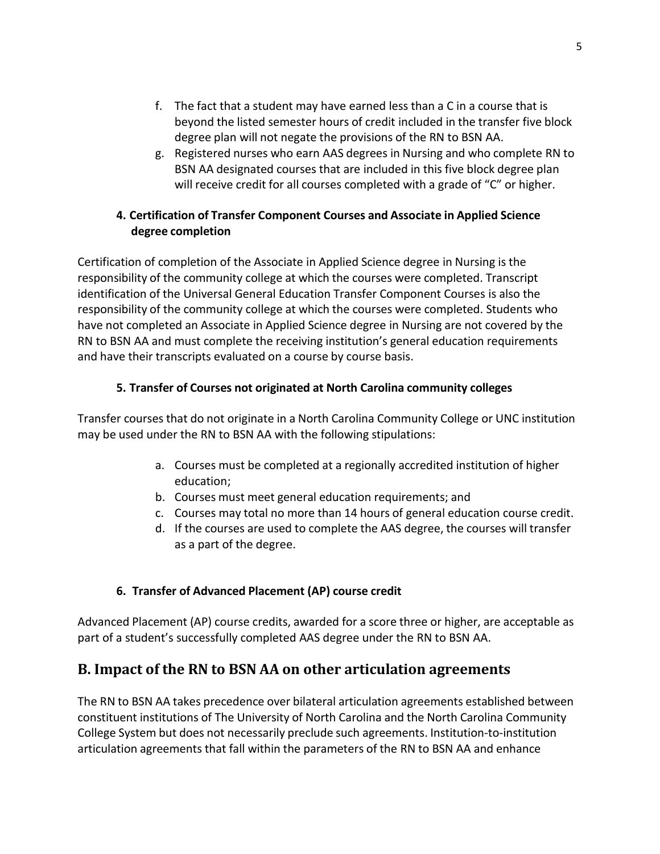- f. The fact that a student may have earned less than a C in a course that is beyond the listed semester hours of credit included in the transfer five block degree plan will not negate the provisions of the RN to BSN AA.
- g. Registered nurses who earn AAS degrees in Nursing and who complete RN to BSN AA designated courses that are included in this five block degree plan will receive credit for all courses completed with a grade of "C" or higher.

### **4. Certification of Transfer Component Courses and Associate in Applied Science degree completion**

Certification of completion of the Associate in Applied Science degree in Nursing is the responsibility of the community college at which the courses were completed. Transcript identification of the Universal General Education Transfer Component Courses is also the responsibility of the community college at which the courses were completed. Students who have not completed an Associate in Applied Science degree in Nursing are not covered by the RN to BSN AA and must complete the receiving institution's general education requirements and have their transcripts evaluated on a course by course basis.

## **5. Transfer of Courses not originated at North Carolina community colleges**

Transfer courses that do not originate in a North Carolina Community College or UNC institution may be used under the RN to BSN AA with the following stipulations:

- a. Courses must be completed at a regionally accredited institution of higher education;
- b. Courses must meet general education requirements; and
- c. Courses may total no more than 14 hours of general education course credit.
- d. If the courses are used to complete the AAS degree, the courses will transfer as a part of the degree.

## **6. Transfer of Advanced Placement (AP) course credit**

Advanced Placement (AP) course credits, awarded for a score three or higher, are acceptable as part of a student's successfully completed AAS degree under the RN to BSN AA.

## **B. Impact of the RN to BSN AA on other articulation agreements**

The RN to BSN AA takes precedence over bilateral articulation agreements established between constituent institutions of The University of North Carolina and the North Carolina Community College System but does not necessarily preclude such agreements. Institution-to-institution articulation agreements that fall within the parameters of the RN to BSN AA and enhance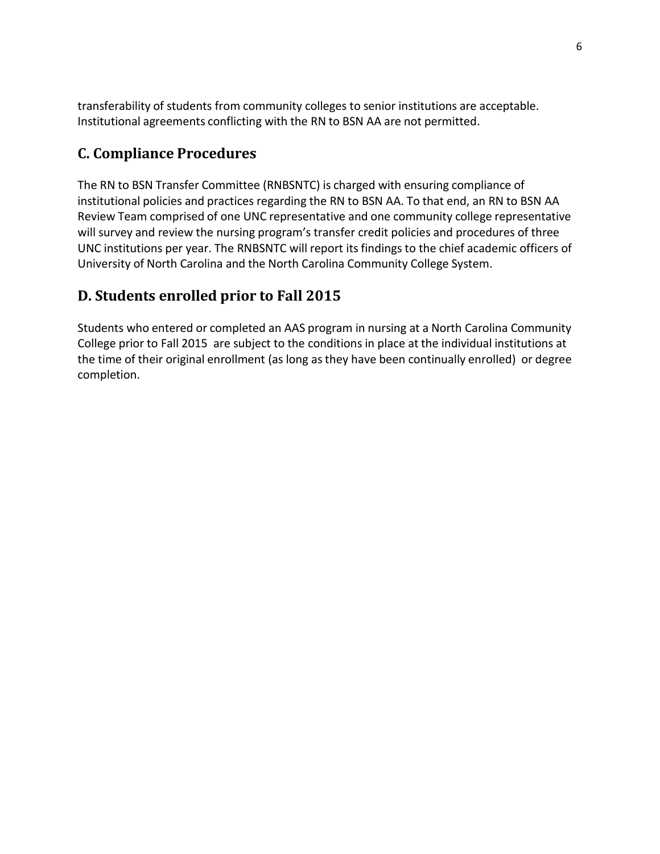transferability of students from community colleges to senior institutions are acceptable. Institutional agreements conflicting with the RN to BSN AA are not permitted.

## **C. Compliance Procedures**

The RN to BSN Transfer Committee (RNBSNTC) is charged with ensuring compliance of institutional policies and practices regarding the RN to BSN AA. To that end, an RN to BSN AA Review Team comprised of one UNC representative and one community college representative will survey and review the nursing program's transfer credit policies and procedures of three UNC institutions per year. The RNBSNTC will report its findings to the chief academic officers of University of North Carolina and the North Carolina Community College System.

## **D. Students enrolled prior to Fall 2015**

Students who entered or completed an AAS program in nursing at a North Carolina Community College prior to Fall 2015 are subject to the conditions in place at the individual institutions at the time of their original enrollment (as long asthey have been continually enrolled) or degree completion.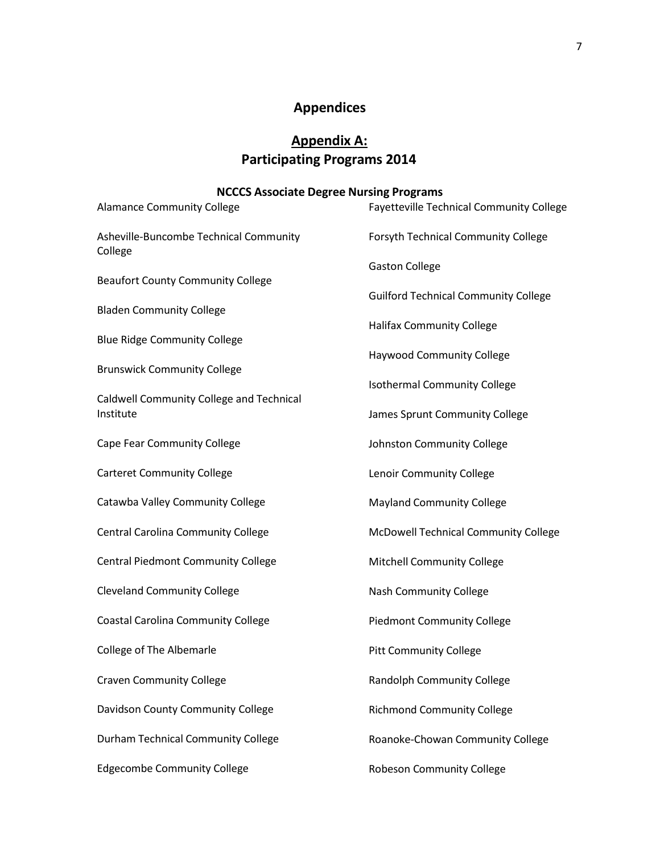# **Appendices**

# **Appendix A: Participating Programs 2014**

### **NCCCS Associate Degree Nursing Programs**

| <b>Alamance Community College</b>                 | Fayetteville Technical Community College    |  |
|---------------------------------------------------|---------------------------------------------|--|
| Asheville-Buncombe Technical Community<br>College | Forsyth Technical Community College         |  |
| <b>Beaufort County Community College</b>          | <b>Gaston College</b>                       |  |
| <b>Bladen Community College</b>                   | <b>Guilford Technical Community College</b> |  |
| <b>Blue Ridge Community College</b>               | <b>Halifax Community College</b>            |  |
| <b>Brunswick Community College</b>                | <b>Haywood Community College</b>            |  |
| Caldwell Community College and Technical          | <b>Isothermal Community College</b>         |  |
| Institute                                         | James Sprunt Community College              |  |
| Cape Fear Community College                       | Johnston Community College                  |  |
| <b>Carteret Community College</b>                 | Lenoir Community College                    |  |
| Catawba Valley Community College                  | <b>Mayland Community College</b>            |  |
| Central Carolina Community College                | McDowell Technical Community College        |  |
| Central Piedmont Community College                | Mitchell Community College                  |  |
| <b>Cleveland Community College</b>                | <b>Nash Community College</b>               |  |
| Coastal Carolina Community College                | <b>Piedmont Community College</b>           |  |
| College of The Albemarle                          | <b>Pitt Community College</b>               |  |
| <b>Craven Community College</b>                   | Randolph Community College                  |  |
| Davidson County Community College                 | <b>Richmond Community College</b>           |  |
| Durham Technical Community College                | Roanoke-Chowan Community College            |  |
| <b>Edgecombe Community College</b>                | <b>Robeson Community College</b>            |  |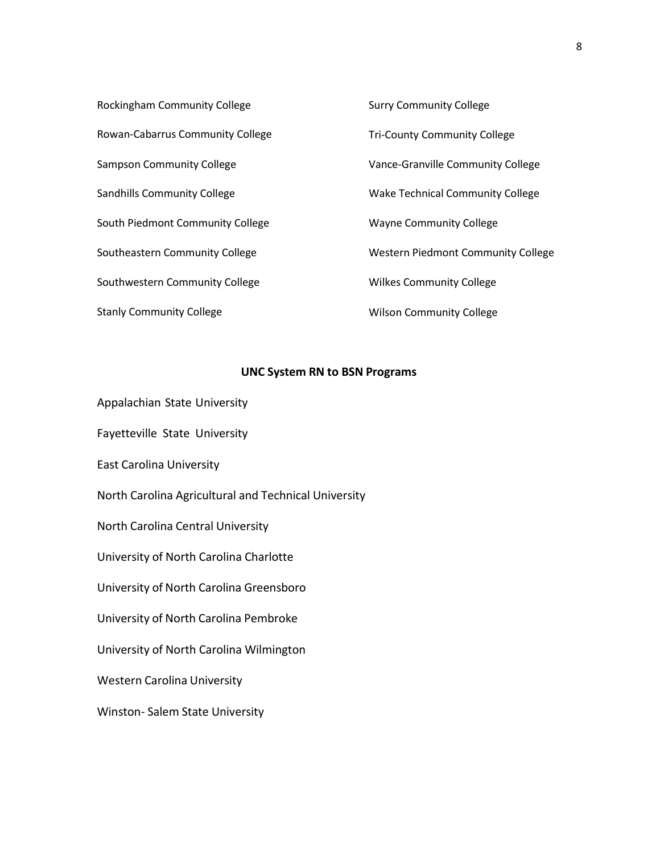| Rockingham Community College       | <b>Surry Community College</b>          |
|------------------------------------|-----------------------------------------|
| Rowan-Cabarrus Community College   | <b>Tri-County Community College</b>     |
| Sampson Community College          | Vance-Granville Community College       |
| <b>Sandhills Community College</b> | <b>Wake Technical Community College</b> |
| South Piedmont Community College   | <b>Wayne Community College</b>          |
| Southeastern Community College     | Western Piedmont Community College      |
| Southwestern Community College     | <b>Wilkes Community College</b>         |
| <b>Stanly Community College</b>    | <b>Wilson Community College</b>         |

#### **UNC System RN to BSN Programs**

Appalachian State University

Fayetteville State University

East Carolina University

North Carolina Agricultural and Technical University

North Carolina Central University

University of North Carolina Charlotte

University of North Carolina Greensboro

University of North Carolina Pembroke

University of North Carolina Wilmington

Western Carolina University

Winston- Salem State University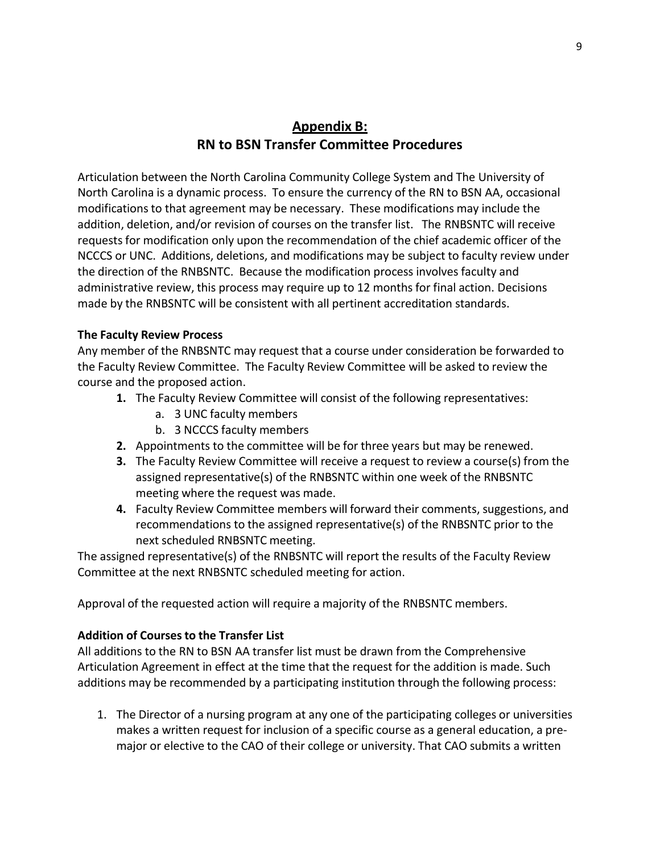## **Appendix B: RN to BSN Transfer Committee Procedures**

Articulation between the North Carolina Community College System and The University of North Carolina is a dynamic process. To ensure the currency of the RN to BSN AA, occasional modifications to that agreement may be necessary. These modifications may include the addition, deletion, and/or revision of courses on the transfer list. The RNBSNTC will receive requestsfor modification only upon the recommendation of the chief academic officer of the NCCCS or UNC. Additions, deletions, and modifications may be subject to faculty review under the direction of the RNBSNTC. Because the modification process involves faculty and administrative review, this process may require up to 12 months for final action. Decisions made by the RNBSNTC will be consistent with all pertinent accreditation standards.

#### **The Faculty Review Process**

Any member of the RNBSNTC may request that a course under consideration be forwarded to the Faculty Review Committee. The Faculty Review Committee will be asked to review the course and the proposed action.

- **1.** The Faculty Review Committee will consist of the following representatives:
	- a. 3 UNC faculty members
	- b. 3 NCCCS faculty members
- **2.** Appointments to the committee will be for three years but may be renewed.
- **3.** The Faculty Review Committee will receive a request to review a course(s) from the assigned representative(s) of the RNBSNTC within one week of the RNBSNTC meeting where the request was made.
- **4.** Faculty Review Committee members will forward their comments, suggestions, and recommendations to the assigned representative(s) of the RNBSNTC prior to the next scheduled RNBSNTC meeting.

The assigned representative(s) of the RNBSNTC will report the results of the Faculty Review Committee at the next RNBSNTC scheduled meeting for action.

Approval of the requested action will require a majority of the RNBSNTC members.

#### **Addition of Coursesto the Transfer List**

All additions to the RN to BSN AA transfer list must be drawn from the Comprehensive Articulation Agreement in effect at the time that the request for the addition is made. Such additions may be recommended by a participating institution through the following process:

1. The Director of a nursing program at any one of the participating colleges or universities makes a written request for inclusion of a specific course as a general education, a premajor or elective to the CAO of their college or university. That CAO submits a written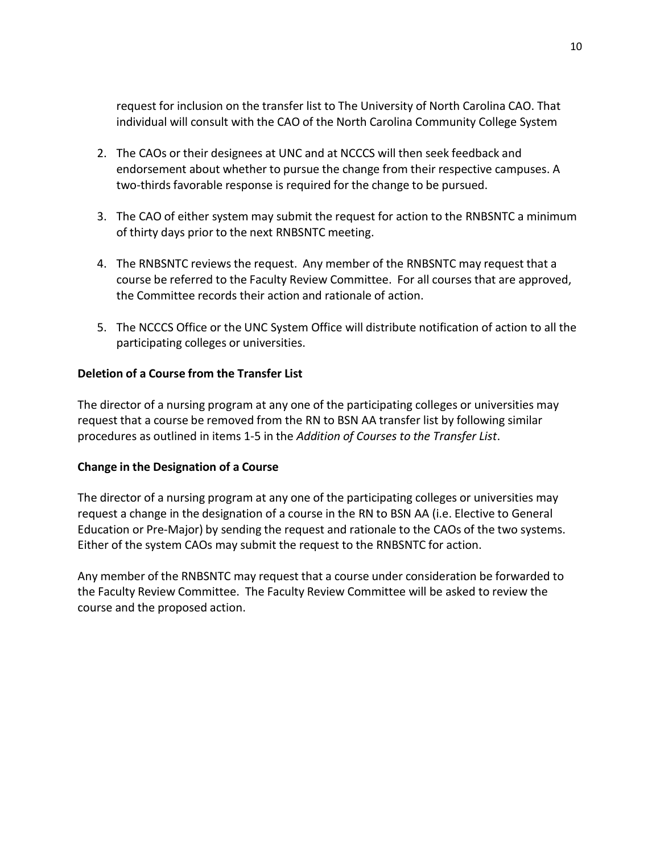request for inclusion on the transfer list to The University of North Carolina CAO. That individual will consult with the CAO of the North Carolina Community College System

- 2. The CAOs or their designees at UNC and at NCCCS will then seek feedback and endorsement about whether to pursue the change from their respective campuses. A two-thirds favorable response is required for the change to be pursued.
- 3. The CAO of either system may submit the request for action to the RNBSNTC a minimum of thirty days prior to the next RNBSNTC meeting.
- 4. The RNBSNTC reviews the request. Any member of the RNBSNTC may request that a course be referred to the Faculty Review Committee. For all courses that are approved, the Committee records their action and rationale of action.
- 5. The NCCCS Office or the UNC System Office will distribute notification of action to all the participating colleges or universities.

#### **Deletion of a Course from the Transfer List**

The director of a nursing program at any one of the participating colleges or universities may request that a course be removed from the RN to BSN AA transfer list by following similar procedures as outlined in items 1-5 in the *Addition of Courses to the Transfer List*.

#### **Change in the Designation of a Course**

The director of a nursing program at any one of the participating colleges or universities may request a change in the designation of a course in the RN to BSN AA (i.e. Elective to General Education or Pre-Major) by sending the request and rationale to the CAOs of the two systems. Either of the system CAOs may submit the request to the RNBSNTC for action.

Any member of the RNBSNTC may request that a course under consideration be forwarded to the Faculty Review Committee. The Faculty Review Committee will be asked to review the course and the proposed action.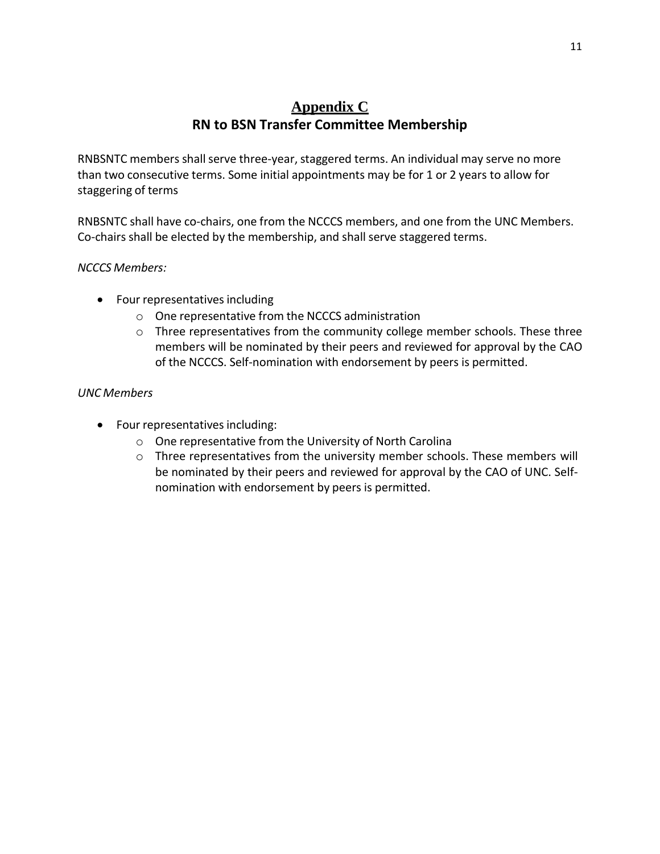## **Appendix C RN to BSN Transfer Committee Membership**

RNBSNTC members shall serve three-year, staggered terms. An individual may serve no more than two consecutive terms. Some initial appointments may be for 1 or 2 years to allow for staggering of terms

RNBSNTC shall have co-chairs, one from the NCCCS members, and one from the UNC Members. Co-chairs shall be elected by the membership, and shall serve staggered terms.

#### *NCCCS Members:*

- Four representatives including
	- o One representative from the NCCCS administration
	- o Three representatives from the community college member schools. These three members will be nominated by their peers and reviewed for approval by the CAO of the NCCCS. Self-nomination with endorsement by peers is permitted.

#### *UNC Members*

- Four representatives including:
	- o One representative from the University of North Carolina
	- o Three representatives from the university member schools. These members will be nominated by their peers and reviewed for approval by the CAO of UNC. Selfnomination with endorsement by peers is permitted.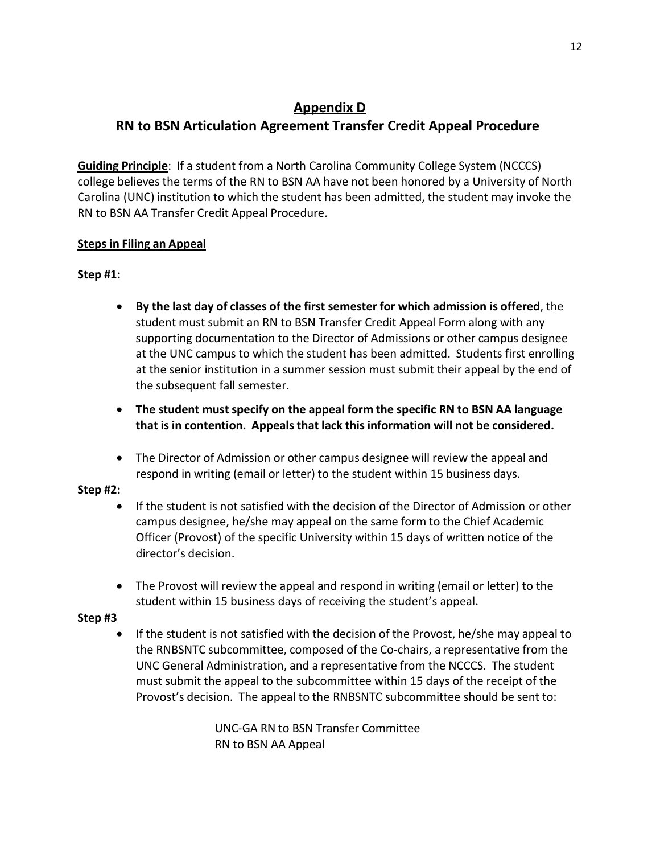## **Appendix D**

# **RN to BSN Articulation Agreement Transfer Credit Appeal Procedure**

**Guiding Principle**: If a student from a North Carolina Community College System (NCCCS) college believes the terms of the RN to BSN AA have not been honored by a University of North Carolina (UNC) institution to which the student has been admitted, the student may invoke the RN to BSN AA Transfer Credit Appeal Procedure.

### **Steps in Filing an Appeal**

### **Step #1:**

- **By the last day of classes of the first semester for which admission is offered**, the student must submit an RN to BSN Transfer Credit Appeal Form along with any supporting documentation to the Director of Admissions or other campus designee at the UNC campus to which the student has been admitted. Students first enrolling at the senior institution in a summer session must submit their appeal by the end of the subsequent fall semester.
- **The student must specify on the appeal form the specific RN to BSN AA language that is in contention. Appeals that lack thisinformation will not be considered.**
- The Director of Admission or other campus designee will review the appeal and respond in writing (email or letter) to the student within 15 business days.

### **Step #2:**

- If the student is not satisfied with the decision of the Director of Admission or other campus designee, he/she may appeal on the same form to the Chief Academic Officer (Provost) of the specific University within 15 days of written notice of the director's decision.
- The Provost will review the appeal and respond in writing (email or letter) to the student within 15 business days of receiving the student's appeal.

### **Step #3**

• If the student is not satisfied with the decision of the Provost, he/she may appeal to the RNBSNTC subcommittee, composed of the Co-chairs, a representative from the UNC General Administration, and a representative from the NCCCS. The student must submit the appeal to the subcommittee within 15 days of the receipt of the Provost's decision. The appeal to the RNBSNTC subcommittee should be sent to:

> UNC-GA RN to BSN Transfer Committee RN to BSN AA Appeal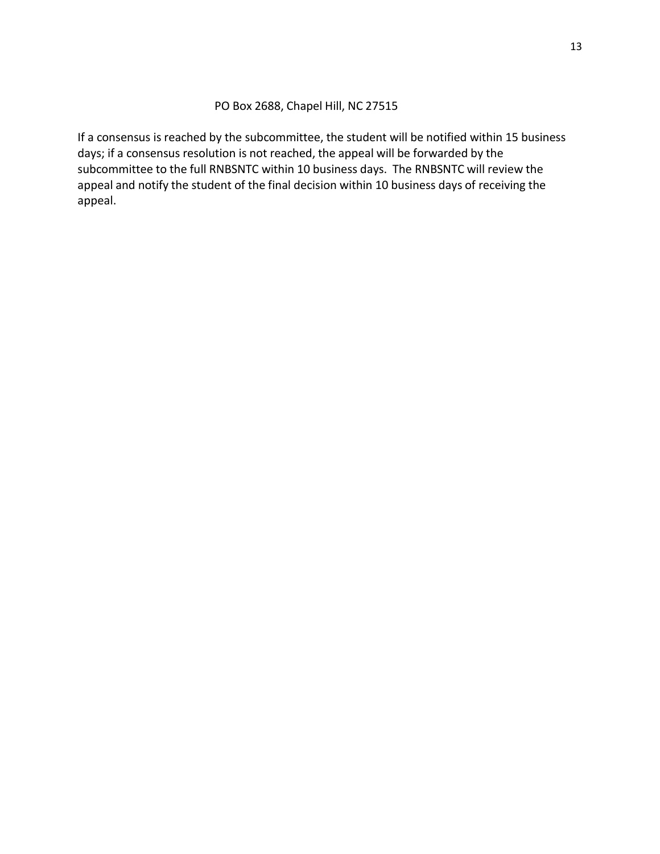#### PO Box 2688, Chapel Hill, NC 27515

If a consensus is reached by the subcommittee, the student will be notified within 15 business days; if a consensus resolution is not reached, the appeal will be forwarded by the subcommittee to the full RNBSNTC within 10 business days. The RNBSNTC will review the appeal and notify the student of the final decision within 10 business days of receiving the appeal.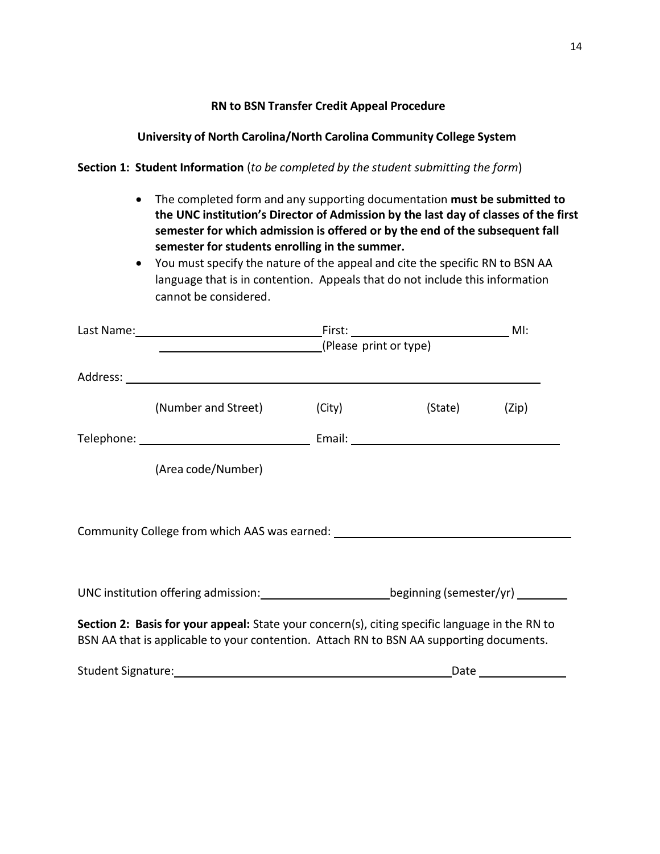#### **RN to BSN Transfer Credit Appeal Procedure**

#### **University of North Carolina/North Carolina Community College System**

#### **Section 1: Student Information** (*to be completed by the student submitting the form*)

- The completed form and any supporting documentation **must be submitted to the UNC institution's Director of Admission by the last day of classes of the first semester for which admission is offered or by the end of the subsequent fall semester for students enrolling in the summer.**
- You must specify the nature of the appeal and cite the specific RN to BSN AA language that is in contention. Appeals that do not include this information cannot be considered.

|                                                                                                                                                                                           |                     | (Please print or type) |               |  |
|-------------------------------------------------------------------------------------------------------------------------------------------------------------------------------------------|---------------------|------------------------|---------------|--|
|                                                                                                                                                                                           |                     |                        |               |  |
|                                                                                                                                                                                           | (Number and Street) | (City)                 | (State) (Zip) |  |
|                                                                                                                                                                                           |                     |                        |               |  |
|                                                                                                                                                                                           | (Area code/Number)  |                        |               |  |
| Community College from which AAS was earned: ___________________________________                                                                                                          |                     |                        |               |  |
| UNC institution offering admission: beginning (semester/yr) _______                                                                                                                       |                     |                        |               |  |
| Section 2: Basis for your appeal: State your concern(s), citing specific language in the RN to<br>BSN AA that is applicable to your contention. Attach RN to BSN AA supporting documents. |                     |                        |               |  |
|                                                                                                                                                                                           |                     |                        |               |  |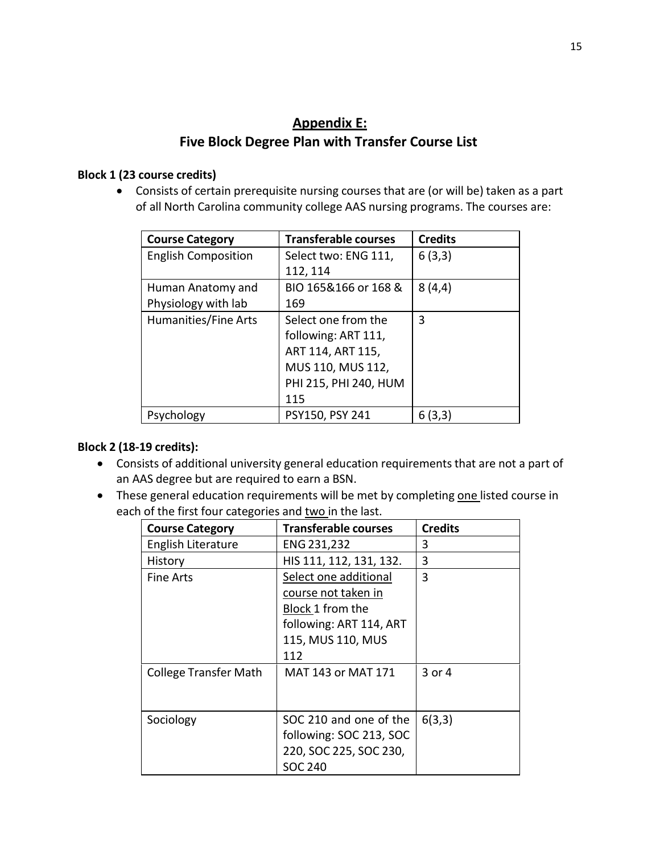## **Appendix E: Five Block Degree Plan with Transfer Course List**

### **Block 1 (23 course credits)**

• Consists of certain prerequisite nursing courses that are (or will be) taken as a part of all North Carolina community college AAS nursing programs. The courses are:

| <b>Course Category</b>     | <b>Transferable courses</b> | <b>Credits</b> |
|----------------------------|-----------------------------|----------------|
| <b>English Composition</b> | Select two: ENG 111,        | 6(3,3)         |
|                            | 112, 114                    |                |
| Human Anatomy and          | BIO 165&166 or 168 &        | 8(4,4)         |
| Physiology with lab        | 169                         |                |
| Humanities/Fine Arts       | Select one from the         | 3              |
|                            | following: ART 111,         |                |
|                            | ART 114, ART 115,           |                |
|                            | MUS 110, MUS 112,           |                |
|                            | PHI 215, PHI 240, HUM       |                |
|                            | 115                         |                |
| Psychology                 | PSY150, PSY 241             | 6 (3.3)        |

### **Block 2 (18-19 credits):**

- Consists of additional university general education requirements that are not a part of an AAS degree but are required to earn a BSN.
- These general education requirements will be met by completing one listed course in each of the first four categories and two in the last.

| <b>Course Category</b>       | <b>Transferable courses</b> | <b>Credits</b> |
|------------------------------|-----------------------------|----------------|
| English Literature           | ENG 231,232                 | 3              |
| History                      | HIS 111, 112, 131, 132.     | 3              |
| <b>Fine Arts</b>             | Select one additional       | 3              |
|                              | course not taken in         |                |
|                              | Block 1 from the            |                |
|                              | following: ART 114, ART     |                |
|                              | 115, MUS 110, MUS           |                |
|                              | 112                         |                |
| <b>College Transfer Math</b> | MAT 143 or MAT 171          | 3 or 4         |
|                              |                             |                |
|                              |                             |                |
| Sociology                    | SOC 210 and one of the      | 6(3,3)         |
|                              | following: SOC 213, SOC     |                |
|                              | 220, SOC 225, SOC 230,      |                |
|                              | SOC 240                     |                |